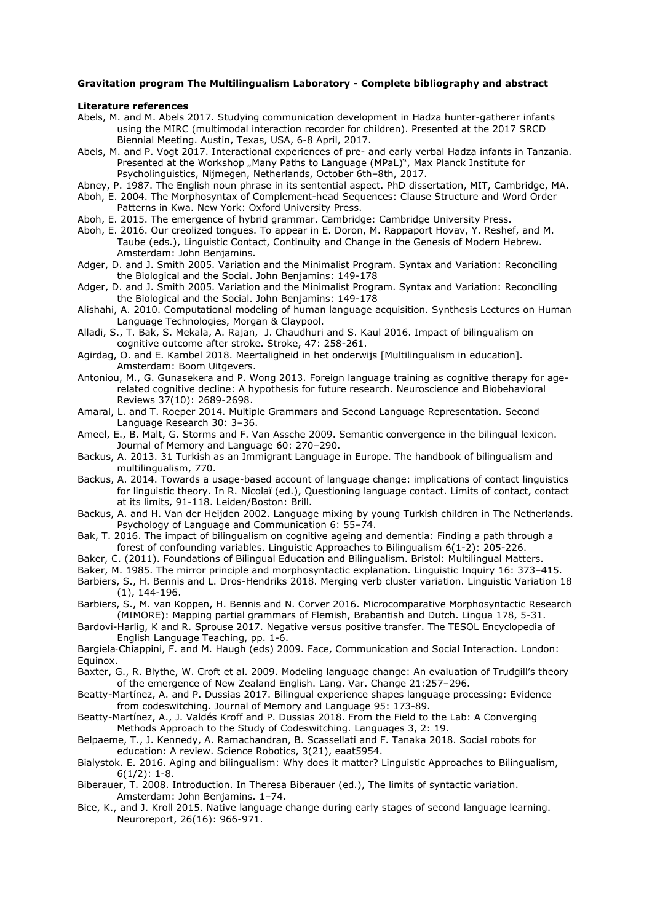## **Gravitation program The Multilingualism Laboratory - Complete bibliography and abstract**

## **Literature references**

- Abels, M. and M. Abels 2017. Studying communication development in Hadza hunter-gatherer infants using the MIRC (multimodal interaction recorder for children). Presented at the 2017 SRCD Biennial Meeting. Austin, Texas, USA, 6-8 April, 2017.
- Abels, M. and P. Vogt 2017. Interactional experiences of pre- and early verbal Hadza infants in Tanzania. Presented at the Workshop "Many Paths to Language (MPaL)", Max Planck Institute for Psycholinguistics, Nijmegen, Netherlands, October 6th–8th, 2017.
- Abney, P. 1987. The English noun phrase in its sentential aspect. PhD dissertation, MIT, Cambridge, MA.
- Aboh, E. 2004. The Morphosyntax of Complement-head Sequences: Clause Structure and Word Order Patterns in Kwa. New York: Oxford University Press.
- Aboh, E. 2015. The emergence of hybrid grammar. Cambridge: Cambridge University Press.
- Aboh, E. 2016. Our creolized tongues. To appear in E. Doron, M. Rappaport Hovav, Y. Reshef, and M. Taube (eds.), Linguistic Contact, Continuity and Change in the Genesis of Modern Hebrew. Amsterdam: John Benjamins.
- Adger, D. and J. Smith 2005. Variation and the Minimalist Program. Syntax and Variation: Reconciling the Biological and the Social. John Benjamins: 149-178
- Adger, D. and J. Smith 2005. Variation and the Minimalist Program. Syntax and Variation: Reconciling the Biological and the Social. John Benjamins: 149-178
- Alishahi, A. 2010. Computational modeling of human language acquisition. Synthesis Lectures on Human Language Technologies, Morgan & Claypool.
- Alladi, S., T. Bak, S. Mekala, A. Rajan, J. Chaudhuri and S. Kaul 2016. Impact of bilingualism on cognitive outcome after stroke. Stroke, 47: 258-261.
- Agirdag, O. and E. Kambel 2018. Meertaligheid in het onderwijs [Multilingualism in education]. Amsterdam: Boom Uitgevers.
- Antoniou, M., G. Gunasekera and P. Wong 2013. Foreign language training as cognitive therapy for agerelated cognitive decline: A hypothesis for future research. Neuroscience and Biobehavioral Reviews 37(10): 2689-2698.
- Amaral, L. and T. Roeper 2014. Multiple Grammars and Second Language Representation. Second Language Research 30: 3–36.
- Ameel, E., B. Malt, G. Storms and F. Van Assche 2009. Semantic convergence in the bilingual lexicon. Journal of Memory and Language 60: 270–290.
- Backus, A. 2013. 31 Turkish as an Immigrant Language in Europe. The handbook of bilingualism and multilingualism, 770.
- Backus, A. 2014. Towards a usage-based account of language change: implications of contact linguistics for linguistic theory. In R. Nicolaï (ed.), Questioning language contact. Limits of contact, contact at its limits, 91-118. Leiden/Boston: Brill.
- Backus, A. and H. Van der Heijden 2002. Language mixing by young Turkish children in The Netherlands. Psychology of Language and Communication 6: 55–74.
- Bak, T. 2016. The impact of bilingualism on cognitive ageing and dementia: Finding a path through a forest of confounding variables. Linguistic Approaches to Bilingualism 6(1-2): 205-226.
- Baker, C. (2011). Foundations of Bilingual Education and Bilingualism. Bristol: Multilingual Matters.
- Baker, M. 1985. The mirror principle and morphosyntactic explanation. Linguistic Inquiry 16: 373–415.
- Barbiers, S., H. Bennis and L. Dros-Hendriks 2018. Merging verb cluster variation. Linguistic Variation 18 (1), 144-196.
- Barbiers, S., M. van Koppen, H. Bennis and N. Corver 2016. Microcomparative Morphosyntactic Research (MIMORE): Mapping partial grammars of Flemish, Brabantish and Dutch. Lingua 178, 5-31.
- Bardovi-Harlig, K and R. Sprouse 2017. Negative versus positive transfer. The TESOL Encyclopedia of English Language Teaching, pp. 1-6.

Bargiela‐Chiappini, F. and M. Haugh (eds) 2009. Face, Communication and Social Interaction. London: Equinox.

- Baxter, G., R. Blythe, W. Croft et al. 2009. Modeling language change: An evaluation of Trudgill's theory of the emergence of New Zealand English. Lang. Var. Change 21:257–296.
- Beatty-Martínez, A. and P. Dussias 2017. Bilingual experience shapes language processing: Evidence from codeswitching. Journal of Memory and Language 95: 173-89.
- Beatty-Martínez, A., J. Valdés Kroff and P. Dussias 2018. From the Field to the Lab: A Converging Methods Approach to the Study of Codeswitching. Languages 3, 2: 19.
- Belpaeme, T., J. Kennedy, A. Ramachandran, B. Scassellati and F. Tanaka 2018. Social robots for education: A review. Science Robotics, 3(21), eaat5954.
- Bialystok. E. 2016. Aging and bilingualism: Why does it matter? Linguistic Approaches to Bilingualism,  $6(1/2): 1-8.$
- Biberauer, T. 2008. Introduction. In Theresa Biberauer (ed.), The limits of syntactic variation. Amsterdam: John Benjamins. 1–74.
- Bice, K., and J. Kroll 2015. Native language change during early stages of second language learning. Neuroreport, 26(16): 966-971.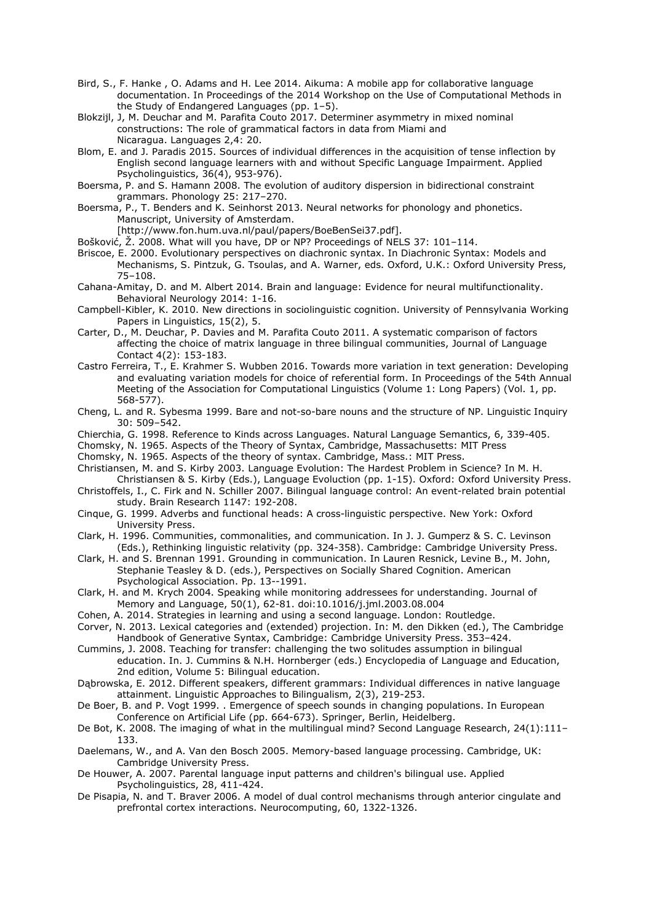- Bird, S., F. Hanke , O. Adams and H. Lee 2014. Aikuma: A mobile app for collaborative language documentation. In Proceedings of the 2014 Workshop on the Use of Computational Methods in the Study of Endangered Languages (pp. 1–5).
- Blokzijl, J, M. Deuchar and M. Parafita Couto 2017. Determiner asymmetry in mixed nominal constructions: The role of grammatical factors in data from Miami and Nicaragua. Languages 2,4: 20.
- Blom, E. and J. Paradis 2015. Sources of individual differences in the acquisition of tense inflection by English second language learners with and without Specific Language Impairment. Applied Psycholinguistics, 36(4), 953-976).
- Boersma, P. and S. Hamann 2008. The evolution of auditory dispersion in bidirectional constraint grammars. Phonology 25: 217–270.
- Boersma, P., T. Benders and K. Seinhorst 2013. Neural networks for phonology and phonetics. Manuscript, University of Amsterdam.

[http://www.fon.hum.uva.nl/paul/papers/BoeBenSei37.pdf].

Bošković, Ž. 2008. What will you have, DP or NP? Proceedings of NELS 37: 101–114.

Briscoe, E. 2000. Evolutionary perspectives on diachronic syntax. In Diachronic Syntax: Models and Mechanisms, S. Pintzuk, G. Tsoulas, and A. Warner, eds. Oxford, U.K.: Oxford University Press, 75–108.

- Cahana-Amitay, D. and M. Albert 2014. Brain and language: Evidence for neural multifunctionality. Behavioral Neurology 2014: 1-16.
- Campbell-Kibler, K. 2010. New directions in sociolinguistic cognition. University of Pennsylvania Working Papers in Linguistics, 15(2), 5.
- Carter, D., M. Deuchar, P. Davies and M. Parafita Couto 2011. A systematic comparison of factors affecting the choice of matrix language in three bilingual communities, Journal of Language Contact 4(2): 153-183.
- Castro Ferreira, T., E. Krahmer S. Wubben 2016. Towards more variation in text generation: Developing and evaluating variation models for choice of referential form. In Proceedings of the 54th Annual Meeting of the Association for Computational Linguistics (Volume 1: Long Papers) (Vol. 1, pp. 568-577).
- Cheng, L. and R. Sybesma 1999. Bare and not-so-bare nouns and the structure of NP. Linguistic Inquiry 30: 509–542.
- Chierchia, G. 1998. Reference to Kinds across Languages. Natural Language Semantics, 6, 339-405.
- Chomsky, N. 1965. [Aspects of the Theory of Syntax,](https://books.google.com/books?id=u0ksbFqagU8C) Cambridge, Massachusetts: MIT Press
- Chomsky, N. 1965. Aspects of the theory of syntax. Cambridge, Mass.: MIT Press.
- Christiansen, M. and S. Kirby 2003. Language Evolution: The Hardest Problem in Science? In M. H. Christiansen & S. Kirby (Eds.), Language Evoluction (pp. 1-15). Oxford: Oxford University Press.
- Christoffels, I., C. Firk and N. Schiller 2007. Bilingual language control: An event-related brain potential study. Brain Research 1147: 192-208.
- Cinque, G. 1999. Adverbs and functional heads: A cross-linguistic perspective. New York: Oxford University Press.
- Clark, H. 1996. Communities, commonalities, and communication. In J. J. Gumperz & S. C. Levinson (Eds.), Rethinking linguistic relativity (pp. 324-358). Cambridge: Cambridge University Press.
- Clark, H. and S. Brennan 1991. Grounding in communication. In Lauren Resnick, Levine B., M. John, Stephanie Teasley & D. (eds.), Perspectives on Socially Shared Cognition. American Psychological Association. Pp. 13--1991.
- Clark, H. and M. Krych 2004. Speaking while monitoring addressees for understanding. Journal of Memory and Language, 50(1), 62-81. doi:10.1016/j.jml.2003.08.004
- Cohen, A. 2014. Strategies in learning and using a second language. London: Routledge.
- Corver, N. 2013. Lexical categories and (extended) projection. In: M. den Dikken (ed.), The Cambridge Handbook of Generative Syntax, Cambridge: Cambridge University Press. 353–424.
- Cummins, J. 2008. Teaching for transfer: challenging the two solitudes assumption in bilingual education. In. J. Cummins & N.H. Hornberger (eds.) Encyclopedia of Language and Education, 2nd edition, Volume 5: Bilingual education.
- Dąbrowska, E. 2012. Different speakers, different grammars: Individual differences in native language attainment. Linguistic Approaches to Bilingualism, 2(3), 219-253.
- De Boer, B. and P. Vogt 1999. . Emergence of speech sounds in changing populations. In European Conference on Artificial Life (pp. 664-673). Springer, Berlin, Heidelberg.
- De Bot, K. 2008. The imaging of what in the multilingual mind? Second Language Research, 24(1):111-133.
- Daelemans, W., and A. Van den Bosch 2005. Memory-based language processing. Cambridge, UK: Cambridge University Press.
- De Houwer, A. 2007. Parental language input patterns and children's bilingual use. Applied Psycholinguistics, 28, 411-424.
- De Pisapia, N. and T. Braver 2006. A model of dual control mechanisms through anterior cingulate and prefrontal cortex interactions. Neurocomputing, 60, 1322-1326.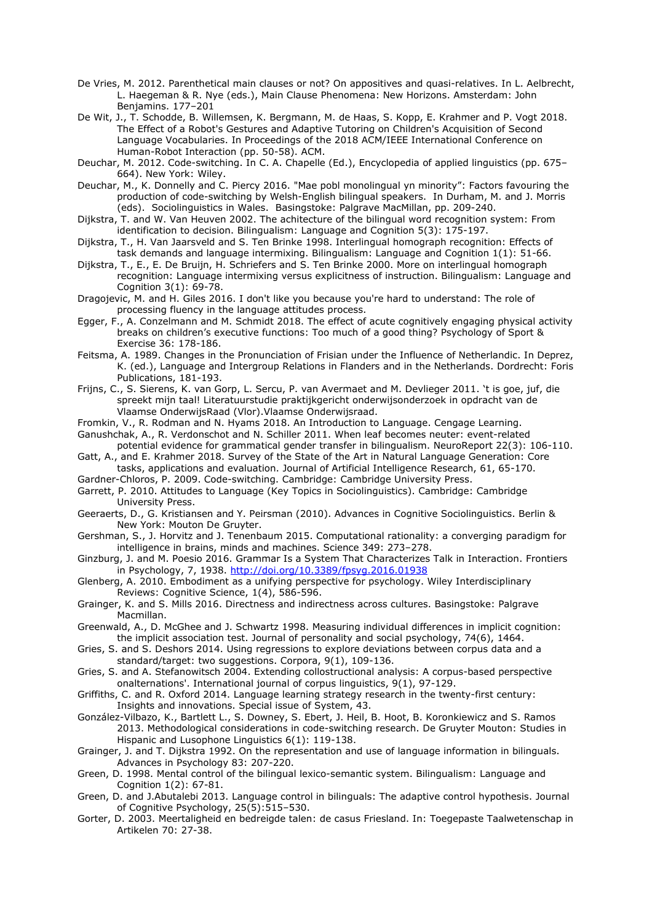- De Vries, M. 2012. Parenthetical main clauses or not? On appositives and quasi-relatives. In L. Aelbrecht, L. Haegeman & R. Nye (eds.), Main Clause Phenomena: New Horizons. Amsterdam: John Benjamins. 177–201
- De Wit, J., T. Schodde, B. Willemsen, K. Bergmann, M. de Haas, S. Kopp, E. Krahmer and P. Vogt 2018. The Effect of a Robot's Gestures and Adaptive Tutoring on Children's Acquisition of Second Language Vocabularies. In Proceedings of the 2018 ACM/IEEE International Conference on Human-Robot Interaction (pp. 50-58). ACM.
- Deuchar, M. 2012. Code-switching. In C. A. Chapelle (Ed.), Encyclopedia of applied linguistics (pp. 675– 664). New York: Wiley.
- Deuchar, M., K. Donnelly and C. Piercy 2016. "Mae pobl monolingual yn minority": Factors favouring the production of code-switching by Welsh-English bilingual speakers. In Durham, M. and J. Morris (eds). Sociolinguistics in Wales. Basingstoke: Palgrave MacMillan, pp. 209-240.
- Dijkstra, T. and W. Van Heuven 2002. The achitecture of the bilingual word recognition system: From identification to decision. Bilingualism: Language and Cognition 5(3): 175-197.
- Dijkstra, T., H. Van Jaarsveld and S. Ten Brinke 1998. Interlingual homograph recognition: Effects of task demands and language intermixing. Bilingualism: Language and Cognition 1(1): 51-66.
- Dijkstra, T., E., E. De Bruijn, H. Schriefers and S. Ten Brinke 2000. More on interlingual homograph recognition: Language intermixing versus explicitness of instruction. Bilingualism: Language and Cognition 3(1): 69-78.
- Dragojevic, M. and H. Giles 2016. I don't like you because you're hard to understand: The role of processing fluency in the language attitudes process.
- Egger, F., A. Conzelmann and M. Schmidt 2018. The effect of acute cognitively engaging physical activity breaks on children's executive functions: Too much of a good thing? Psychology of Sport & Exercise 36: 178-186.
- Feitsma, A. 1989. Changes in the Pronunciation of Frisian under the Influence of Netherlandic. In Deprez, K. (ed.), Language and Intergroup Relations in Flanders and in the Netherlands. Dordrecht: Foris Publications, 181-193.
- Frijns, C., S. Sierens, K. van Gorp, L. Sercu, P. van Avermaet and M. Devlieger 2011. 't is goe, juf, die spreekt mijn taal! Literatuurstudie praktijkgericht onderwijsonderzoek in opdracht van de Vlaamse OnderwijsRaad (Vlor).Vlaamse Onderwijsraad.
- Fromkin, V., R. Rodman and N. Hyams 2018. An Introduction to Language. Cengage Learning.
- Ganushchak, A., R. Verdonschot and N. Schiller 2011. When leaf becomes neuter: event-related potential evidence for grammatical gender transfer in bilingualism. NeuroReport 22(3): 106-110.
- Gatt, A., and E. Krahmer 2018. Survey of the State of the Art in Natural Language Generation: Core tasks, applications and evaluation. Journal of Artificial Intelligence Research, 61, 65-170.
- Gardner-Chloros, P. 2009. Code-switching. Cambridge: Cambridge University Press.
- Garrett, P. 2010. Attitudes to Language (Key Topics in Sociolinguistics). Cambridge: Cambridge University Press.
- Geeraerts, D., G. Kristiansen and Y. Peirsman (2010). Advances in Cognitive Sociolinguistics. Berlin & New York: Mouton De Gruyter.
- Gershman, S., J. Horvitz and J. Tenenbaum 2015. Computational rationality: a converging paradigm for intelligence in brains, minds and machines. Science 349: 273–278.
- Ginzburg, J. and M. Poesio 2016. Grammar Is a System That Characterizes Talk in Interaction. Frontiers in Psychology, 7, 1938.<http://doi.org/10.3389/fpsyg.2016.01938>
- Glenberg, A. 2010. Embodiment as a unifying perspective for psychology. Wiley Interdisciplinary Reviews: Cognitive Science, 1(4), 586-596.
- Grainger, K. and S. Mills 2016. Directness and indirectness across cultures. Basingstoke: Palgrave Macmillan.
- Greenwald, A., D. McGhee and J. Schwartz 1998. Measuring individual differences in implicit cognition: the implicit association test. Journal of personality and social psychology, 74(6), 1464.
- Gries, S. and S. Deshors 2014. Using regressions to explore deviations between corpus data and a standard/target: two suggestions. Corpora, 9(1), 109-136.
- Gries, S. and A. Stefanowitsch 2004. Extending collostructional analysis: A corpus-based perspective onalternations'. International journal of corpus linguistics, 9(1), 97-129.
- Griffiths, C. and R. Oxford 2014. Language learning strategy research in the twenty-first century: Insights and innovations. Special issue of System, 43.
- González-Vilbazo, K., Bartlett L., S. Downey, S. Ebert, J. Heil, B. Hoot, B. Koronkiewicz and S. Ramos 2013. Methodological considerations in code-switching research. De Gruyter Mouton: Studies in Hispanic and Lusophone Linguistics 6(1): 119-138.
- Grainger, J. and T. Dijkstra 1992. On the representation and use of language information in bilinguals. Advances in Psychology 83: 207-220.
- Green, D. 1998. Mental control of the bilingual lexico-semantic system. Bilingualism: Language and Cognition 1(2): 67-81.
- Green, D. and J.Abutalebi 2013. Language control in bilinguals: The adaptive control hypothesis. Journal of Cognitive Psychology, 25(5):515–530.
- Gorter, D. 2003. Meertaligheid en bedreigde talen: de casus Friesland. In: Toegepaste Taalwetenschap in Artikelen 70: 27-38.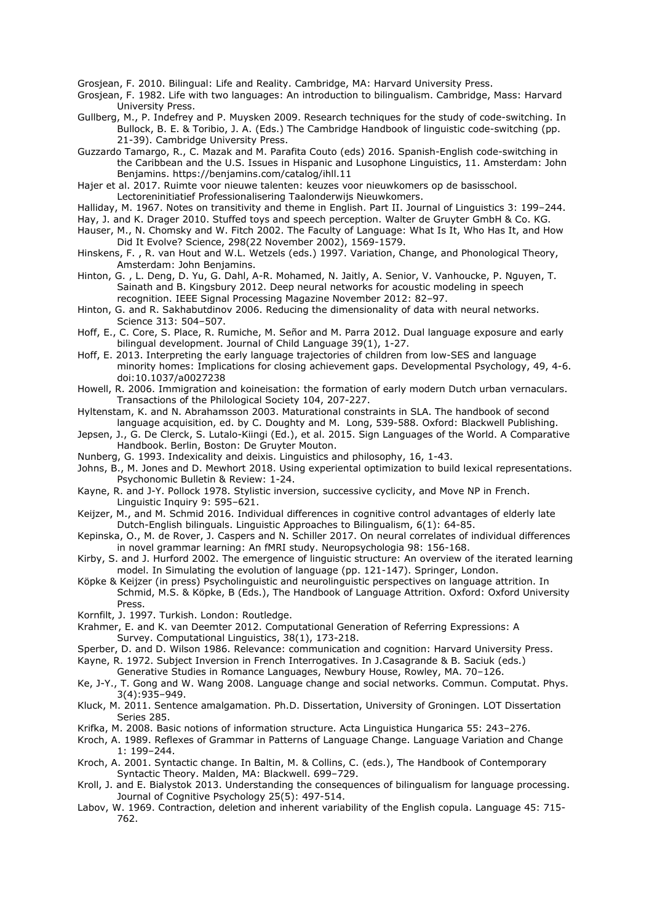Grosjean, F. 2010. Bilingual: Life and Reality. Cambridge, MA: Harvard University Press.

Grosjean, F. 1982. Life with two languages: An introduction to bilingualism. Cambridge, Mass: Harvard University Press.

[Gullberg, M., P. Indefrey and P. Muysken 2009. Research techniques for the study of code-switching. In](https://lup.lub.lu.se/search/publication/cc6dee56-b934-4e7f-9add-f3d820ea3248)  [Bullock, B. E. & Toribio, J. A. \(Eds.\) The Cambridge Handbook of linguistic code-switching \(pp.](https://lup.lub.lu.se/search/publication/cc6dee56-b934-4e7f-9add-f3d820ea3248)  [21-39\). Cambridge University Press.](https://lup.lub.lu.se/search/publication/cc6dee56-b934-4e7f-9add-f3d820ea3248)

Guzzardo Tamargo, R., C. Mazak and M. Parafita Couto (eds) 2016. Spanish-English code-switching in the Caribbean and the U.S. Issues in Hispanic and Lusophone Linguistics, 11. Amsterdam: John Benjamins.<https://benjamins.com/catalog/ihll.11>

Hajer et al. 2017. Ruimte voor nieuwe talenten: keuzes voor nieuwkomers op de basisschool.

Lectoreninitiatief Professionalisering Taalonderwijs Nieuwkomers.

- Halliday, M. 1967. Notes on transitivity and theme in English. Part II. Journal of Linguistics 3: 199–244.
- Hay, J. and K. Drager 2010. Stuffed toys and speech perception. Walter de Gruyter GmbH & Co. KG.
- Hauser, M., N. Chomsky and W. Fitch 2002. The Faculty of Language: What Is It, Who Has It, and How Did It Evolve? Science, 298(22 November 2002), 1569-1579.
- Hinskens, F. , R. van Hout and W.L. Wetzels (eds.) 1997. Variation, Change, and Phonological Theory, Amsterdam: John Benjamins.
- Hinton, G. , L. Deng, D. Yu, G. Dahl, A-R. Mohamed, N. Jaitly, A. Senior, V. Vanhoucke, P. Nguyen, T. Sainath and B. Kingsbury 2012. Deep neural networks for acoustic modeling in speech recognition. IEEE Signal Processing Magazine November 2012: 82–97.
- Hinton, G. and R. Sakhabutdinov 2006. Reducing the dimensionality of data with neural networks. Science 313: 504–507.
- Hoff, E., C. Core, S. Place, R. Rumiche, M. Señor and M. Parra 2012. Dual language exposure and early bilingual development. Journal of Child Language 39(1), 1-27.
- Hoff, E. 2013. Interpreting the early language trajectories of children from low-SES and language minority homes: Implications for closing achievement gaps. Developmental Psychology, 49, 4-6. doi:10.1037/a0027238

Howell, R. 2006. Immigration and koineisation: the formation of early modern Dutch urban vernaculars. Transactions of the Philological Society 104, 207-227.

Hyltenstam, K. and N. Abrahamsson 2003. Maturational constraints in SLA. The handbook of second language acquisition, ed. by C. Doughty and M. Long, 539-588. Oxford: Blackwell Publishing.

- Jepsen, J., G. De Clerck, S. Lutalo-Kiingi (Ed.), et al. 2015. Sign Languages of the World. A Comparative Handbook. Berlin, Boston: De Gruyter Mouton.
- Nunberg, G. 1993. Indexicality and deixis. Linguistics and philosophy, 16, 1-43.
- Johns, B., M. Jones and D. Mewhort 2018. Using experiental optimization to build lexical representations. Psychonomic Bulletin & Review: 1-24.
- Kayne, R. and J-Y. Pollock 1978. Stylistic inversion, successive cyclicity, and Move NP in French. Linguistic Inquiry 9: 595–621.
- Keijzer, M., and M. Schmid 2016. [Individual differences in cognitive control advantages of elderly late](http://www.let.rug.nl/languageattrition/Papers/Keijzer&Schmid2016ms.pdf)  [Dutch-English bilinguals.](http://www.let.rug.nl/languageattrition/Papers/Keijzer&Schmid2016ms.pdf) Linguistic Approaches to Bilingualism, 6(1): 64-85.
- Kepinska, O., M. de Rover, J. Caspers and N. Schiller 2017. On neural correlates of individual differences in novel grammar learning: An fMRI study. Neuropsychologia 98: 156-168.
- Kirby, S. and J. Hurford 2002. The emergence of linguistic structure: An overview of the iterated learning model. In Simulating the evolution of language (pp. 121-147). Springer, London.
- Köpke & Keijzer (in press) Psycholinguistic and neurolinguistic perspectives on language attrition. In Schmid, M.S. & Köpke, B (Eds.), The Handbook of Language Attrition. Oxford: Oxford University Press.

Kornfilt, J. 1997. Turkish. London: Routledge.

- Krahmer, E. and K. van Deemter 2012. Computational Generation of Referring Expressions: A Survey. Computational Linguistics, 38(1), 173-218.
- Sperber, D. and D. Wilson 1986. Relevance: communication and cognition: Harvard University Press.
- Kayne, R. 1972. Subject Inversion in French Interrogatives. In J.Casagrande & B. Saciuk (eds.)
- Generative Studies in Romance Languages, Newbury House, Rowley, MA. 70–126.
- Ke, J-Y., T. Gong and W. Wang 2008. Language change and social networks. Commun. Computat. Phys. 3(4):935–949.
- Kluck, M. 2011. Sentence amalgamation. Ph.D. Dissertation, University of Groningen. LOT Dissertation Series 285.
- Krifka, M. 2008. Basic notions of information structure. Acta Linguistica Hungarica 55: 243–276.
- Kroch, A. 1989. Reflexes of Grammar in Patterns of Language Change. Language Variation and Change 1: 199–244.
- Kroch, A. 2001. Syntactic change. In Baltin, M. & Collins, C. (eds.), The Handbook of Contemporary Syntactic Theory. Malden, MA: Blackwell. 699–729.
- Kroll, J. and E. Bialystok 2013. Understanding the consequences of bilingualism for language processing. Journal of Cognitive Psychology 25(5): 497-514.
- Labov, W. 1969. Contraction, deletion and inherent variability of the English copula. Language 45: 715- 762.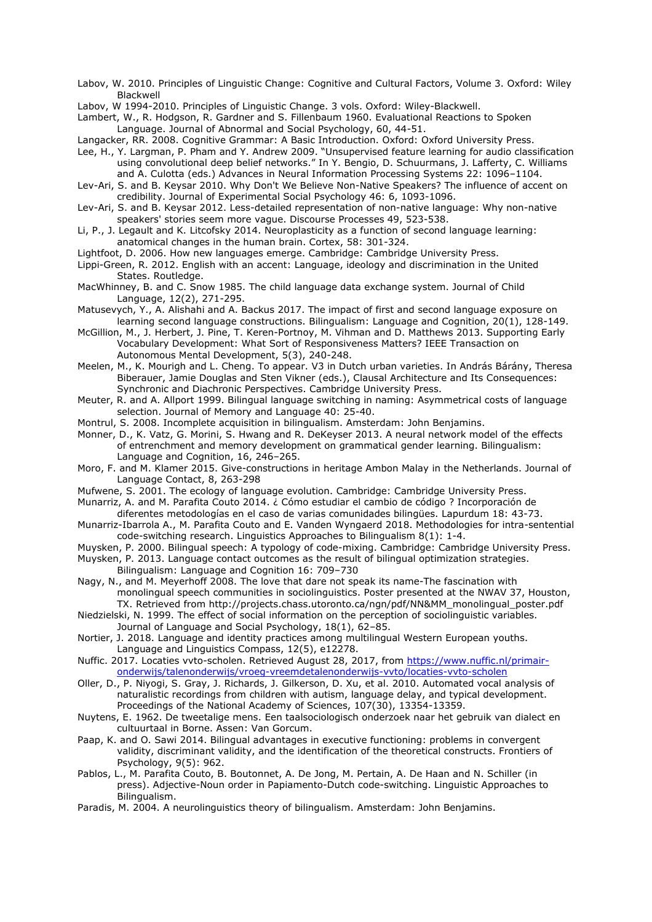Labov, W. 2010. Principles of Linguistic Change: Cognitive and Cultural Factors, Volume 3. Oxford: Wiley Blackwell

- Labov, W 1994-2010. Principles of Linguistic Change. 3 vols. Oxford: Wiley-Blackwell.
- Lambert, W., R. Hodgson, R. Gardner and S. Fillenbaum 1960. Evaluational Reactions to Spoken Language. Journal of Abnormal and Social Psychology, 60, 44-51.

Langacker, RR. 2008. Cognitive Grammar: A Basic Introduction. Oxford: Oxford University Press.

Lee, H., Y. Largman, P. Pham and Y. Andrew 2009. "Unsupervised feature learning for audio classification using convolutional deep belief networks." In Y. Bengio, D. Schuurmans, J. Lafferty, C. Williams and A. Culotta (eds.) Advances in Neural Information Processing Systems 22: 1096–1104.

- Lev-Ari, S. and B. Keysar 2010. Why Don't We Believe Non-Native Speakers? The influence of accent on credibility. Journal of Experimental Social Psychology 46: 6, 1093-1096.
- Lev-Ari, S. and B. Keysar 2012. Less-detailed representation of non-native language: Why non-native speakers' stories seem more vague. Discourse Processes 49, 523-538.
- Li, P., J. Legault and K. Litcofsky 2014. Neuroplasticity as a function of second language learning: anatomical changes in the human brain. Cortex, 58: 301-324.
- Lightfoot, D. 2006. How new languages emerge. Cambridge: Cambridge University Press.
- Lippi-Green, R. 2012. English with an accent: Language, ideology and discrimination in the United States. Routledge.
- MacWhinney, B. and C. Snow 1985. The child language data exchange system. Journal of Child Language, 12(2), 271-295.
- Matusevych, Y., A. Alishahi and A. Backus 2017. The impact of first and second language exposure on learning second language constructions. Bilingualism: Language and Cognition, 20(1), 128-149.
- McGillion, M., J. Herbert, J. Pine, T. Keren-Portnoy, M. Vihman and D. Matthews 2013. Supporting Early Vocabulary Development: What Sort of Responsiveness Matters? IEEE Transaction on Autonomous Mental Development, 5(3), 240-248.
- Meelen, M., K. Mourigh and L. Cheng. To appear. V3 in Dutch urban varieties. In András Bárány, Theresa Biberauer, Jamie Douglas and Sten Vikner (eds.), Clausal Architecture and Its Consequences: Synchronic and Diachronic Perspectives. Cambridge University Press.
- Meuter, R. and A. Allport 1999. Bilingual language switching in naming: Asymmetrical costs of language selection. Journal of Memory and Language 40: 25-40.
- Montrul, S. 2008. Incomplete acquisition in bilingualism. Amsterdam: John Benjamins.
- Monner, D., K. Vatz, G. Morini, S. Hwang and R. DeKeyser 2013. A neural network model of the effects of entrenchment and memory development on grammatical gender learning. Bilingualism: Language and Cognition, 16, 246–265.
- Moro, F. and M. Klamer 2015. Give-constructions in heritage Ambon Malay in the Netherlands. Journal of Language Contact, 8, 263-298
- Mufwene, S. 2001. The ecology of language evolution. Cambridge: Cambridge University Press.
- Munarriz, A. and M. Parafita Couto 2014. ¿ Cómo estudiar el cambio de código ? Incorporación de diferentes metodologías en el caso de varias comunidades bilingües. Lapurdum 18: 43-73.
- Munarriz-Ibarrola A., M. Parafita Couto and E. Vanden Wyngaerd 2018. Methodologies for intra-sentential code-switching research. Linguistics Approaches to Bilingualism 8(1): 1-4.
- Muysken, P. 2000. Bilingual speech: A typology of code-mixing. Cambridge: Cambridge University Press.
- Muysken, P. 2013. Language contact outcomes as the result of bilingual optimization strategies. Bilingualism: Language and Cognition 16: 709–730
- Nagy, N., and M. Meyerhoff 2008. The love that dare not speak its name-The fascination with monolingual speech communities in sociolinguistics. Poster presented at the NWAV 37, Houston, TX. Retrieved from http://projects.chass.utoronto.ca/ngn/pdf/NN&MM\_monolingual\_poster.pdf
- Niedzielski, N. 1999. The effect of social information on the perception of sociolinguistic variables. Journal of Language and Social Psychology, 18(1), 62–85.
- Nortier, J. 2018. Language and identity practices among multilingual Western European youths. Language and Linguistics Compass, 12(5), e12278.
- Nuffic. 2017. Locaties vvto-scholen. Retrieved August 28, 2017, from [https://www.nuffic.nl/primair](https://www.nuffic.nl/primair-onderwijs/talenonderwijs/vroeg-vreemdetalenonderwijs-vvto/locaties-vvto-scholen)[onderwijs/talenonderwijs/vroeg-vreemdetalenonderwijs-vvto/locaties-vvto-scholen](https://www.nuffic.nl/primair-onderwijs/talenonderwijs/vroeg-vreemdetalenonderwijs-vvto/locaties-vvto-scholen)
- Oller, D., P. Niyogi, S. Gray, J. Richards, J. Gilkerson, D. Xu, et al. 2010. Automated vocal analysis of naturalistic recordings from children with autism, language delay, and typical development. Proceedings of the National Academy of Sciences, 107(30), 13354-13359.
- Nuytens, E. 1962. De tweetalige mens. Een taalsociologisch onderzoek naar het gebruik van dialect en cultuurtaal in Borne. Assen: Van Gorcum.
- Paap, K. and O. Sawi 2014. Bilingual advantages in executive functioning: problems in convergent validity, discriminant validity, and the identification of the theoretical constructs. Frontiers of Psychology, 9(5): 962.
- Pablos, L., M. Parafita Couto, B. Boutonnet, A. De Jong, M. Pertain, A. De Haan and N. Schiller (in press). Adjective-Noun order in Papiamento-Dutch code-switching. Linguistic Approaches to Bilingualism.
- Paradis, M. 2004. A neurolinguistics theory of bilingualism. Amsterdam: John Benjamins.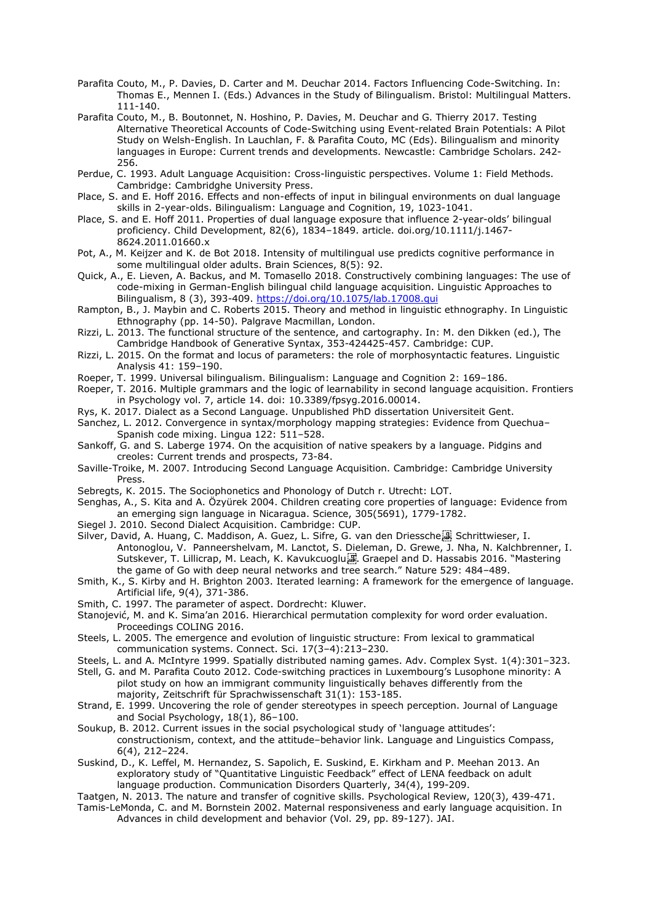- Parafita Couto, M., P. Davies, D. Carter and M. Deuchar 2014. Factors Influencing Code-Switching. In: Thomas E., Mennen I. (Eds.) Advances in the Study of Bilingualism. Bristol: Multilingual Matters. 111-140.
- Parafita Couto, M., B. Boutonnet, N. Hoshino, P. Davies, M. Deuchar and G. Thierry 2017. Testing Alternative Theoretical Accounts of Code-Switching using Event-related Brain Potentials: A Pilot Study on Welsh-English. In Lauchlan, F. & Parafita Couto, MC (Eds). Bilingualism and minority languages in Europe: Current trends and developments. Newcastle: Cambridge Scholars. 242- 256.
- Perdue, C. 1993. Adult Language Acquisition: Cross-linguistic perspectives. Volume 1: Field Methods. Cambridge: Cambridghe University Press.
- Place, S. and E. Hoff 2016. Effects and non-effects of input in bilingual environments on dual language skills in 2-year-olds. Bilingualism: Language and Cognition, 19, 1023-1041.
- Place, S. and E. Hoff 2011. Properties of dual language exposure that influence 2-year-olds' bilingual proficiency. Child Development, 82(6), 1834–1849. article. doi.org/10.1111/j.1467- 8624.2011.01660.x
- Pot, A., M. Keijzer and K. de Bot 2018. Intensity of multilingual use predicts cognitive performance in some multilingual older adults. Brain Sciences, 8(5): 92.
- Quick, A., E. Lieven, A. Backus, and M. Tomasello 2018. Constructively combining languages: The use of code-mixing in German-English bilingual child language acquisition. Linguistic Approaches to Bilingualism, 8 (3), 393-409.<https://doi.org/10.1075/lab.17008.qui>
- Rampton, B., J. Maybin and C. Roberts 2015. Theory and method in linguistic ethnography. In Linguistic Ethnography (pp. 14-50). Palgrave Macmillan, London.
- Rizzi, L. 2013. The functional structure of the sentence, and cartography. In: M. den Dikken (ed.), The Cambridge Handbook of Generative Syntax, 353-424425-457. Cambridge: CUP.
- Rizzi, L. 2015. On the format and locus of parameters: the role of morphosyntactic features. Linguistic Analysis 41: 159–190.
- Roeper, T. 1999. Universal bilingualism. Bilingualism: Language and Cognition 2: 169–186.
- Roeper, T. 2016. Multiple grammars and the logic of learnability in second language acquisition. Frontiers in Psychology vol. 7, article 14. doi: 10.3389/fpsyg.2016.00014.
- Rys, K. 2017. Dialect as a Second Language. Unpublished PhD dissertation Universiteit Gent.
- Sanchez, L. 2012. Convergence in syntax/morphology mapping strategies: Evidence from Quechua– Spanish code mixing. Lingua 122: 511–528.
- Sankoff, G. and S. Laberge 1974. On the acquisition of native speakers by a language. Pidgins and creoles: Current trends and prospects, 73-84.
- Saville-Troike, M. 2007. Introducing Second Language Acquisition. Cambridge: Cambridge University Press.
- Sebregts, K. 2015. The Sociophonetics and Phonology of Dutch r. Utrecht: LOT.
- Senghas, A., S. Kita and A. Özyürek 2004. Children creating core properties of language: Evidence from an emerging sign language in Nicaragua. Science, 305(5691), 1779-1782.
- Siegel J. 2010. Second Dialect Acquisition. Cambridge: CUP.
- Silver, David, A. Huang, C. Maddison, A. Guez, L. Sifre, G. van den Driessche B. Schrittwieser, I. Antonoglou, V. Panneershelvam, M. Lanctot, S. Dieleman, D. Grewe, J. Nha, N. Kalchbrenner, I. Sutskever, T. Lillicrap, M. Leach, K. Kavukcuoglu, T. Graepel and D. Hassabis 2016. "Mastering the game of Go with deep neural networks and tree search." Nature 529: 484–489.
- Smith, K., S. Kirby and H. Brighton 2003. Iterated learning: A framework for the emergence of language. Artificial life, 9(4), 371-386.
- Smith, C. 1997. The parameter of aspect. Dordrecht: Kluwer.
- Stanojević, M. and K. Sima'an 2016. Hierarchical permutation complexity for word order evaluation. Proceedings COLING 2016.
- Steels, L. 2005. The emergence and evolution of linguistic structure: From lexical to grammatical communication systems. Connect. Sci. 17(3–4):213–230.
- Steels, L. and A. McIntyre 1999. Spatially distributed naming games. Adv. Complex Syst. 1(4):301–323.
- Stell, G. and M. Parafita Couto 2012. Code-switching practices in Luxembourg's Lusophone minority: A pilot study on how an immigrant community linguistically behaves differently from the majority, Zeitschrift für Sprachwissenschaft 31(1): 153-185.
- Strand, E. 1999. Uncovering the role of gender stereotypes in speech perception. Journal of Language and Social Psychology, 18(1), 86–100.
- Soukup, B. 2012. Current issues in the social psychological study of 'language attitudes': constructionism, context, and the attitude–behavior link. Language and Linguistics Compass, 6(4), 212–224.
- Suskind, D., K. Leffel, M. Hernandez, S. Sapolich, E. Suskind, E. Kirkham and P. Meehan 2013. An exploratory study of "Quantitative Linguistic Feedback" effect of LENA feedback on adult language production. Communication Disorders Quarterly, 34(4), 199-209.
- Taatgen, N. 2013. The nature and transfer of cognitive skills. Psychological Review, 120(3), 439-471.
- Tamis-LeMonda, C. and M. Bornstein 2002. Maternal responsiveness and early language acquisition. In Advances in child development and behavior (Vol. 29, pp. 89-127). JAI.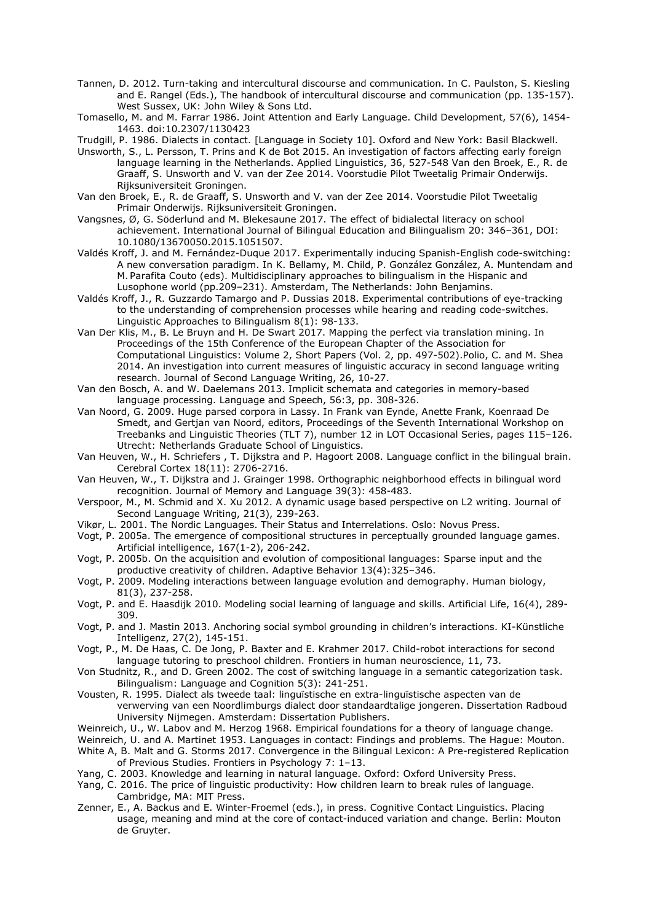- Tannen, D. 2012. Turn-taking and intercultural discourse and communication. In C. Paulston, S. Kiesling and E. Rangel (Eds.), The handbook of intercultural discourse and communication (pp. 135-157). West Sussex, UK: John Wiley & Sons Ltd.
- Tomasello, M. and M. Farrar 1986. Joint Attention and Early Language. Child Development, 57(6), 1454- 1463. doi:10.2307/1130423
- Trudgill, P. 1986. Dialects in contact. [Language in Society 10]. Oxford and New York: Basil Blackwell.
- Unsworth, S., L. Persson, T. Prins and K de Bot 2015. An investigation of factors affecting early foreign language learning in the Netherlands. Applied Linguistics, 36, 527-548 Van den Broek, E., R. de Graaff, S. Unsworth and V. van der Zee 2014. Voorstudie Pilot Tweetalig Primair Onderwijs. Rijksuniversiteit Groningen.
- Van den Broek, E., R. de Graaff, S. Unsworth and V. van der Zee 2014. Voorstudie Pilot Tweetalig Primair Onderwijs. Rijksuniversiteit Groningen.
- Vangsnes, Ø, G. Söderlund and M. Blekesaune 2017. The effect of bidialectal literacy on school achievement. International Journal of Bilingual Education and Bilingualism 20: 346–361, DOI: 10.1080/13670050.2015.1051507.
- Valdés Kroff, J. and M. Fernández-Duque 2017. Experimentally inducing Spanish-English code-switching: A new conversation paradigm. In K. Bellamy, M. Child, P. González González, A. Muntendam and M. Parafita Couto (eds). Multidisciplinary approaches to bilingualism in the Hispanic and Lusophone world (pp.209-231). Amsterdam, The Netherlands: John Benjamins.
- Valdés Kroff, J., R. Guzzardo Tamargo and P. Dussias 2018. Experimental contributions of eye-tracking to the understanding of comprehension processes while hearing and reading code-switches. Linguistic Approaches to Bilingualism 8(1): 98-133.
- Van Der Klis, M., B. Le Bruyn and H. De Swart 2017. Mapping the perfect via translation mining. In Proceedings of the 15th Conference of the European Chapter of the Association for Computational Linguistics: Volume 2, Short Papers (Vol. 2, pp. 497-502).Polio, C. and M. Shea 2014. An investigation into current measures of linguistic accuracy in second language writing research. Journal of Second Language Writing, 26, 10-27.
- Van den Bosch, A. and W. Daelemans 2013. Implicit schemata and categories in memory-based language processing. Language and Speech, 56:3, pp. 308-326.
- Van Noord, G. 2009. Huge parsed corpora in Lassy. In Frank van Eynde, Anette Frank, Koenraad De Smedt, and Gertjan van Noord, editors, Proceedings of the Seventh International Workshop on Treebanks and Linguistic Theories (TLT 7), number 12 in LOT Occasional Series, pages 115–126. Utrecht: Netherlands Graduate School of Linguistics.
- Van Heuven, W., H. Schriefers , T. Dijkstra and P. Hagoort 2008. Language conflict in the bilingual brain. Cerebral Cortex 18(11): 2706-2716.
- Van Heuven, W., T. Dijkstra and J. Grainger 1998. Orthographic neighborhood effects in bilingual word recognition. Journal of Memory and Language 39(3): 458-483.
- Verspoor, M., M. Schmid and X. Xu 2012. A dynamic usage based perspective on L2 writing. Journal of Second Language Writing, 21(3), 239-263.
- Vikør, L. 2001. The Nordic Languages. Their Status and Interrelations. Oslo: Novus Press.
- Vogt, P. 2005a. The emergence of compositional structures in perceptually grounded language games. Artificial intelligence, 167(1-2), 206-242.
- Vogt, P. 2005b. On the acquisition and evolution of compositional languages: Sparse input and the productive creativity of children. Adaptive Behavior 13(4):325–346.
- Vogt, P. 2009. Modeling interactions between language evolution and demography. Human biology, 81(3), 237-258.
- Vogt, P. and E. Haasdijk 2010. Modeling social learning of language and skills. Artificial Life, 16(4), 289- 309.
- Vogt, P. and J. Mastin 2013. Anchoring social symbol grounding in children's interactions. KI-Künstliche Intelligenz, 27(2), 145-151.
- Vogt, P., M. De Haas, C. De Jong, P. Baxter and E. Krahmer 2017. Child-robot interactions for second language tutoring to preschool children. Frontiers in human neuroscience, 11, 73.
- Von Studnitz, R., and D. Green 2002. The cost of switching language in a semantic categorization task. Bilingualism: Language and Cognition 5(3): 241-251.
- Vousten, R. 1995. Dialect als tweede taal: linguïstische en extra-linguïstische aspecten van de verwerving van een Noordlimburgs dialect door standaardtalige jongeren. Dissertation Radboud University Nijmegen. Amsterdam: Dissertation Publishers.
- Weinreich, U., W. Labov and M. Herzog 1968. Empirical foundations for a theory of language change.
- Weinreich, U. and A. Martinet 1953. Languages in contact: Findings and problems. The Hague: Mouton.
- White A, B. Malt and G. Storms 2017. Convergence in the Bilingual Lexicon: A Pre-registered Replication of Previous Studies. Frontiers in Psychology 7: 1–13.
- Yang, C. 2003. Knowledge and learning in natural language. Oxford: Oxford University Press.
- Yang, C. 2016. The price of linguistic productivity: How children learn to break rules of language. Cambridge, MA: MIT Press.
- Zenner, E., A. Backus and E. Winter-Froemel (eds.), in press. Cognitive Contact Linguistics. Placing usage, meaning and mind at the core of contact-induced variation and change. Berlin: Mouton de Gruyter.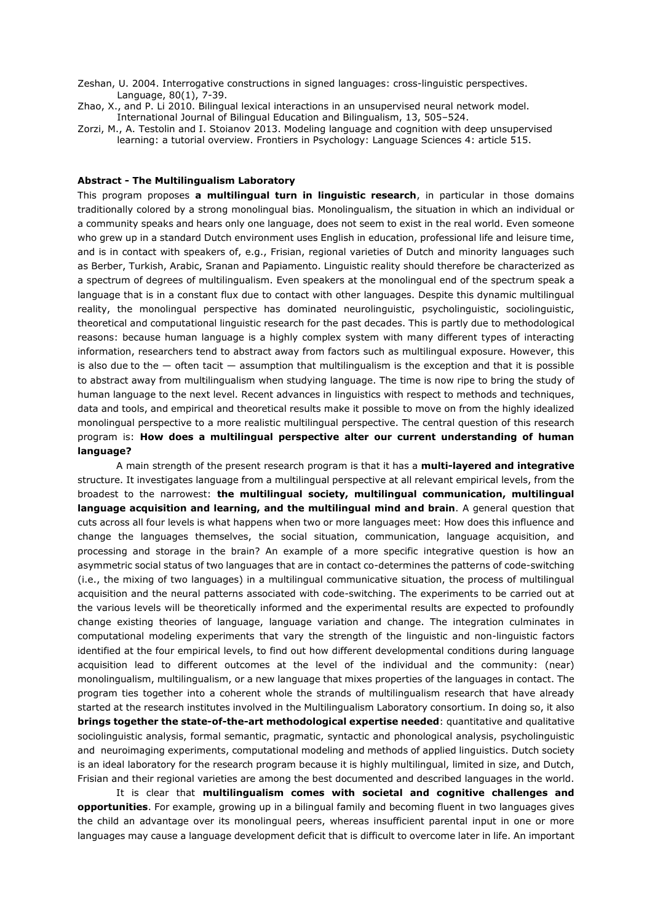- Zeshan, U. 2004. Interrogative constructions in signed languages: cross-linguistic perspectives. Language, 80(1), 7-39.
- Zhao, X., and P. Li 2010. Bilingual lexical interactions in an unsupervised neural network model. International Journal of Bilingual Education and Bilingualism, 13, 505–524.
- Zorzi, M., A. Testolin and I. Stoianov 2013. Modeling language and cognition with deep unsupervised learning: a tutorial overview. Frontiers in Psychology: Language Sciences 4: article 515.

## **Abstract - The Multilingualism Laboratory**

This program proposes **a multilingual turn in linguistic research**, in particular in those domains traditionally colored by a strong monolingual bias. Monolingualism, the situation in which an individual or a community speaks and hears only one language, does not seem to exist in the real world. Even someone who grew up in a standard Dutch environment uses English in education, professional life and leisure time, and is in contact with speakers of, e.g., Frisian, regional varieties of Dutch and minority languages such as Berber, Turkish, Arabic, Sranan and Papiamento. Linguistic reality should therefore be characterized as a spectrum of degrees of multilingualism. Even speakers at the monolingual end of the spectrum speak a language that is in a constant flux due to contact with other languages. Despite this dynamic multilingual reality, the monolingual perspective has dominated neurolinguistic, psycholinguistic, sociolinguistic, theoretical and computational linguistic research for the past decades. This is partly due to methodological reasons: because human language is a highly complex system with many different types of interacting information, researchers tend to abstract away from factors such as multilingual exposure. However, this is also due to the  $-$  often tacit  $-$  assumption that multilingualism is the exception and that it is possible to abstract away from multilingualism when studying language. The time is now ripe to bring the study of human language to the next level. Recent advances in linguistics with respect to methods and techniques, data and tools, and empirical and theoretical results make it possible to move on from the highly idealized monolingual perspective to a more realistic multilingual perspective. The central question of this research program is: **How does a multilingual perspective alter our current understanding of human language?**

A main strength of the present research program is that it has a **multi-layered and integrative** structure. It investigates language from a multilingual perspective at all relevant empirical levels, from the broadest to the narrowest: **the multilingual society, multilingual communication, multilingual language acquisition and learning, and the multilingual mind and brain**. A general question that cuts across all four levels is what happens when two or more languages meet: How does this influence and change the languages themselves, the social situation, communication, language acquisition, and processing and storage in the brain? An example of a more specific integrative question is how an asymmetric social status of two languages that are in contact co-determines the patterns of code-switching (i.e., the mixing of two languages) in a multilingual communicative situation, the process of multilingual acquisition and the neural patterns associated with code-switching. The experiments to be carried out at the various levels will be theoretically informed and the experimental results are expected to profoundly change existing theories of language, language variation and change. The integration culminates in computational modeling experiments that vary the strength of the linguistic and non-linguistic factors identified at the four empirical levels, to find out how different developmental conditions during language acquisition lead to different outcomes at the level of the individual and the community: (near) monolingualism, multilingualism, or a new language that mixes properties of the languages in contact. The program ties together into a coherent whole the strands of multilingualism research that have already started at the research institutes involved in the Multilingualism Laboratory consortium. In doing so, it also **brings together the state-of-the-art methodological expertise needed**: quantitative and qualitative sociolinguistic analysis, formal semantic, pragmatic, syntactic and phonological analysis, psycholinguistic and neuroimaging experiments, computational modeling and methods of applied linguistics. Dutch society is an ideal laboratory for the research program because it is highly multilingual, limited in size, and Dutch, Frisian and their regional varieties are among the best documented and described languages in the world.

It is clear that **multilingualism comes with societal and cognitive challenges and opportunities**. For example, growing up in a bilingual family and becoming fluent in two languages gives the child an advantage over its monolingual peers, whereas insufficient parental input in one or more languages may cause a language development deficit that is difficult to overcome later in life. An important